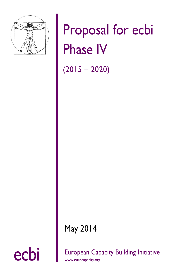

# Proposal for ecbi Phase IV

 $(2015 - 2020)$ 

May 2014

ecbi European Capacity Building Initiative

[www.eurocapacity.org](http://www.eurocapacity.org/)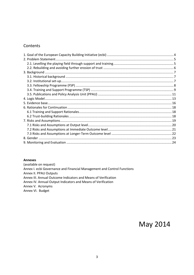#### Contents

#### **Annexes**

(available on request) Annex I. ecbi Governance and Financial Management and Control Functions Annex II. PPAU Outputs Annex III. Annual Outcome Indicators and Means of Verification Annex IV. Annual Output Indicators and Means of Verification Annex V. Acronyms Annex VI. Budget

May 2014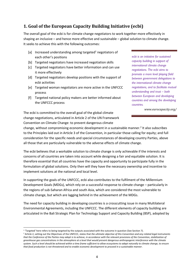# <span id="page-3-0"></span>**1. Goal of the European Capacity Building Initiative (ecbi)**

The overall goal of the ecbi is for climate change negotiators to work together more effectively in shaping an inclusive – and hence more effective and sustainable – global solution to climate change. It seeks to achieve this with the following outcomes:

- [a] Increased understanding among targeted<sup>1</sup> negotiators of each other's positions
- [b] Targeted negotiators have increased negotiation skills
- [c] Targeted negotiators have better information and can use it more effectively
- [d] Targeted negotiators develop positions with the support of ecbi activities
- [e] Targeted woman negotiators are more active in the UNFCCC process
- [f] Targeted national policy makers are better informed about the UNFCCC process

*ecbi is an initiative for sustained capacity building in support of international climate change negotiations. The ecbi aims to promote a more level playing field between government delegations to the international climate change negotiations, and to facilitate mutual understanding and trust – both between European and developing countries and among the developing countries.*

*www.eurocapacity.org/*

The ecbi is committed to the overall goal of the global climate change negotiations, articulated in Article 2 of the UN Framework Convention on Climate Change: to prevent dangerous climate

change, without compromising economic development in a sustainable manner. 2 It also subscribes to the Principles laid out in Article 3 of the Convention, in particular those calling for equity; and full consideration for the specific needs and special circumstances of developing country Parties, above all those that are particularly vulnerable to the adverse effects of climate change.

The ecbi believes that a workable solution to climate change is only achievable if the interests and concerns of all countries are taken into account while designing a fair and equitable solution. It is therefore essential that all countries have the capacity and opportunity to participate fully in the formulation of global solutions. Only then will they have the necessary ownership and incentive to implement solutions at the national and local level.

In supporting the goals of the UNFCCC, ecbi also contributes to the fulfilment of the Millennium Development Goals (MDGs), which rely on a successful response to climate change – particularly in the regions of sub-Saharan Africa and south Asia, which are considered the most vulnerable to climate change, but which are lagging behind in the achievement of the MDGs.

The need for capacity building in developing countries is a crosscutting issue in many Multilateral Environmental Agreements, including the UNFCCC. The different elements of capacity building are articulated in the Bali Strategic Plan for Technology Support and Capacity Building (BSP), adopted by

<sup>1</sup> <sup>1</sup> 'Targeted' here refers to being targeted by the outputs associated with the outcome in question (See Section 7).

<sup>&</sup>lt;sup>2</sup> Article 2, setting out the Objectives of the UNFCCC, states that *the ultimate objective of this Convention and any related legal instruments* that the Conference of the Parties may adopt is to achieve, in accordance with the relevant provisions of the Convention, stabilization of *greenhouse gas concentrations in the atmosphere at a level that would prevent dangerous anthropogenic interference with the climate system. Such a level should be achieved within a time frame sufficient to allow ecosystems to adapt naturally to climate change, to ensure that food production is not threatened and to enable economic development to proceed in a sustainable manner*.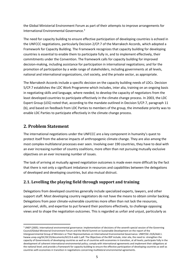the Global Ministerial Environment Forum as part of their attempts to improve arrangements for International Environmental Governance. 3

The need for capacity building to ensure effective participation of developing countries is echoed in the UNFCCC negotiations, particularly Decision 2/CP.7 of the Marrakech Accords, which adopted a Framework for Capacity Building. The Framework recognizes that capacity building for developing countries is essential to enable them to participate fully in, and to implement effectively, their commitments under the Convention. The framework calls for capacity building for improved decision-making, including assistance for participation in international negotiations; and for the promotion of participation by a wide range of stakeholders, including governments at all levels, national and international organizations, civil society, and the private sector, as appropriate.

The Marrakesh Accords include a specific decision on the capacity building needs of LDCs. Decision 5/CP.7 establishes the LDC Work Programme which includes, inter alia, training on an ongoing basis in negotiating skills and language, where needed, to develop the capacity of negotiators from the least developed countries to participate effectively in the climate change process. In 2003, the LDC Expert Group (LEG) noted that, according to the mandate outlined in Decision 5/CP.7, paragraph 11 (b), and based on feedback from LDC Parties to members of the group, the immediate priority was to enable LDC Parties to participate effectively in the climate change process.

# <span id="page-4-0"></span>**2. Problem Statement**

**.** 

The international negotiations under the UNFCCC are a key component in humanity's quest to protect itself from the adverse impacts of anthropogenic climate change. They are also among the most complex multilateral processes ever seen. Involving over 190 countries, they have to deal with an ever increasing number of country coalitions, more often than not pursuing mutually exclusive objectives on an ever increasing number of issues.

The task of arriving at mutually agreed negotiation outcomes is made even more difficult by the fact that there is not only a significant imbalance in resources and capabilities between the delegations of developed and developing countries, but also mutual distrust.

#### <span id="page-4-1"></span>**2.1. Levelling the playing field through support and training**

Delegations from developed countries generally include specialized experts, lawyers, and other support staff. Most developing country negotiators do not have the means to obtain similar backing. Delegations from poor climate-vulnerable countries more often than not lack the resources, personnel, skills, and expertise to put forward their positions effectively, to challenge opposing views and to shape the negotiation outcomes. This is regarded as unfair and unjust, particularly as

<sup>3</sup> UNEP (2005). International environmental governance: implementation of decisions of the seventh special session of the Governing Council/Global Ministerial Environment Forum and the World Summit on Sustainable Development on the report of the Intergovernmental Group of Ministers or Their Representatives on International Environmental Governance. UNEP/GC.23/6/Add.1. hwww.unep.org/GC/GC23/documents/GC23-6-add-1.pdf. The Objectives of the BSP include, inter alia, the need to: strengthen the capacity of Governments of developing countries as well as of countries with economies in transition, at all levels; participate fully in the development of coherent international environmental policy; comply with international agreements and implement their obligations at the national level; and provide a framework for capacity-building to ensure the effective participation of developing countries as well as countries with economies in transition in negotiations concerning multilateral environmental agreements.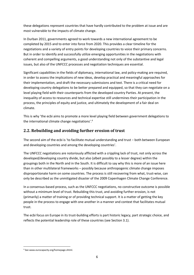these delegations represent countries that have hardly contributed to the problem at issue and are most vulnerable to the impacts of climate change.

In Durban 2011, governments agreed to work towards a new international agreement to be completed by 2015 and to enter into force from 2020. This provides a clear timeline for the negotiations and a variety of entry points for developing countries to voice their primary concerns. But in order to identify and successfully utilize emerging opportunities in the negotiations with coherent and compelling arguments, a good understanding not only of the substantive and legal issues, but also of the UNFCCC processes and negotiation techniques are essential.

Significant capabilities in the fields of diplomacy, international law, and policy-making are required, in order to assess the implications of new ideas, develop practical and meaningful approaches for their implementation, and draft the necessary submissions and text. There is a critical need for developing country delegations to be better prepared and equipped, so that they can negotiate on a level playing field with their counterparts from the developed country Parties. At present, the inequality of access to resources and technical expertise still undermines their participation in the process, the principles of equity and justice, and ultimately the development of a fair deal on climate.

This is why 'the ecbi aims to promote a more level playing field between government delegations to the international climate change negotiations'. 4

#### <span id="page-5-0"></span>**2.2. Rebuilding and avoiding further erosion of trust**

The second aim of the ecbi is 'to facilitate mutual understanding and trust − both between European and developing countries and among the developing countries'.

The UNFCCC negotiations are notoriously afflicted with a crippling lack of trust, not only across the developed/developing country divide, but also (albeit possibly to a lesser degree) within the groupings both in the North and in the South. It is difficult to say why this is more of an issue here than in other multilateral frameworks – possibly because anthropogenic climate change imposes disproportionate harm on some countries. The process is still recovering from what, trust-wise, can only be described as the unmitigated disaster of the 2009 Copenhagen Climate Change Conference.

In a consensus-based process, such as the UNFCCC negotiations, no constructive outcome is possible without a minimum level of trust. Rebuilding this trust, and avoiding further erosion, is not (primarily) a matter of training or of providing technical support. It is a matter of getting the key people in the process to engage with one another in a manner and context that facilitates mutual trust.

The ecbi focus on Europe in its trust-building efforts is part historic legacy, part strategic choice, and reflects the potential leadership role of these countries (see Section 3.1).

 $\overline{a}$ <sup>4</sup> See www.eurocapacity.org/homepage.shtml.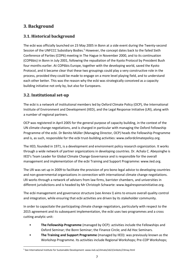# <span id="page-6-0"></span>**3. Background**

#### <span id="page-6-1"></span>**3.1. Historical background**

The ecbi was officially launched on 23 May 2005 in Bonn at a side event during the Twenty-second Session of the UNFCCC Subsidiary Bodies.<sup>5</sup> However, the concept dates back to the failed Sixth Conference of Parties (COP6) meeting in The Hague in November 2000, and to its continuation (COP6bis) in Bonn in July 2001, following the repudiation of the Kyoto Protocol by President Bush four months earlier. At COP6bis Europe, together with the developing world, saved the Kyoto Protocol, and it became clear that these two groupings could play a very constructive role in the process, provided they could be made to engage on a more level playing field, and to understand each other better. This was the reason why the ecbi was strategically conceived as a capacity building initiative not only by, but also for Europeans.

#### <span id="page-6-2"></span>**3.2. Institutional set-up**

The ecbi is a network of institutional members led by Oxford Climate Policy (OCP), the International Institute of Environment and Development (IIED), and the Legal Response Initiative (LRI), along with a number of regional partners.

OCP was registered in April 2005 for the general purpose of capacity building, in the context of the UN climate change negotiations, and is charged in particular with managing the Oxford Fellowship Programme of the ecbi. Dr Benito Müller (Managing Director, OCP) heads the Fellowship Programme and is, as such, responsible for the ecbi trust-building activities: [www.oxfordclimatepolicy.org.](http://www.oxfordclimatepolicy.org/)

The IIED, founded in 1971, is a development and environment policy research organization. It works through a wide network of partner organizations in developing countries. Dr. Achala C. Abeysinghe is IIED's Team Leader for Global Climate Change Governance and is responsible for the overall management and implementation of the ecbi Training and Support Programme: [www.iied.org.](http://www.iied.org/)

The LRI was set up in 2009 to facilitate the provision of pro bono legal advice to developing countries and non-governmental organizations in connection with international climate change negotiations. LRI works through a network of advisers from law firms, barrister chambers, and universities in different jurisdictions and is headed by Mr Christoph Schwarte: [www.legalresponseinitiative.org.](http://www.legalresponseinitiative.org/)

The ecbi management and governance structure (see Annex I) aims to ensure overall quality control and integration, while ensuring that ecbi activities are driven by its stakeholder community.

In order to capacitate the participating climate change negotiators, particularly with respect to the 2015 agreement and its subsequent implementation, the ecbi uses two programmes and a cross cutting analytic unit:

- **The Fellowship Programme** (managed by OCP): activities include the Fellowships and Oxford Seminar; the Bonn Seminar; the Finance Circle; and Ad Hoc Seminars.
- **The Training and Support Programme** (managed by IIED): was previously known as the Workshop Programme. Its activities include Regional Workshops; Pre-COP Workshops;

 $\overline{a}$ <sup>5</sup> See International Institute for Sustainable Development: www.iisd.ca/climate/sb22/enbots/23may.html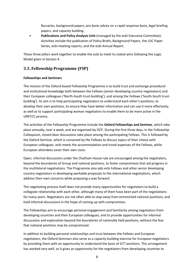Bursaries, background papers, pro bono advice on a rapid response basis, legal briefing papers, and capacity building.

• **Publications and Policy Analysis Unit** (managed by the ecbi Executive Committee): Activities include the publication of Policy Briefs, Background Papers, the LDC Paper Series, ecbi meeting reports, and the ecbi Annual Report.

These three pillars work together to enable the ecbi to meet its stated aims following the Logic Model given in Section 4.

#### <span id="page-7-0"></span>**3.3. Fellowship Programme (FSP)**

#### **Fellowships and Seminars**

The mission of the Oxford-based Fellowship Programme is to build trust and exchange procedural and institutional knowledge both between the Fellows (senior developing country negotiators) and their European colleagues ('North-South trust-building'), and among the Fellows ('South-South trustbuilding'). Its aim is to help participating negotiators to understand each other's positions, to develop their own positions, to ensure they have better information and can use it more effectively, as well as to support participating woman negotiators to enable them to be more active in the UNFCCC process.

The activities of the Fellowship Programme include the **Oxford Fellowships and Seminar**, which take place annually, over a week, and are organized by OCP. During the first three days, in the Fellowship Colloquium, closed-door discussions take place among the participating Fellows. This is followed by the Oxford Seminar, which is convened by the Fellows to discuss topics of their choice with European colleagues. ecbi meets the accommodation and travel expenses of the Fellows, while European attendees cover their own costs.

Open, informal discussions under the Chatham House rule are encouraged among the negotiators, beyond the boundaries of Group and national positions, to foster compromises that aid progress in the multilateral negotiations. The Programme also aids ecbi Fellows and other senior developing country negotiators in developing workable proposals to the international negotiations, which address their own concerns while proposing a way forward.

The negotiating process itself does not provide many opportunities for negotiators to build a collegiate relationship with each other, although many of them have been part of the negotiations for many years. Negotiators are not often able to step away from entrenched national positions, and hold informal discussions in the hope of coming up with compromises.

The Fellowships aim to encourage personal engagement and familiarity among negotiators from developing countries and their European colleagues, and to provide opportunities for informal discussions and exploration beyond the boundaries of nationally held positions, without the fear that national positions may be compromised.

In addition to building personal relationships and trust between the Fellows and European negotiators, the Oxford Seminars also serve as a capacity building exercise for European negotiators by providing them with an opportunity to understand the basis of G77 positions. This arrangement has worked very well, as it gives an opportunity for the negotiators from developing countries to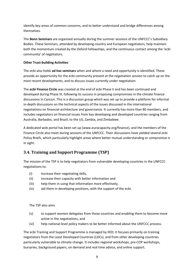identify key areas of common concerns, and to better understand and bridge differences among themselves.

The **Bonn Seminars** are organized annually during the summer sessions of the UNFCCC's Subsidiary Bodies. These Seminars, attended by developing country and European negotiators, help maintain both the momentum created by the Oxford Fellowships, and the continuous contact among the 'ecbi community' of negotiators.

#### **Other Trust-building Activities**

The ecbi also holds **ad hoc seminars** when and where a need and opportunity is identified. These provide an opportunity for the ecbi community present at the negotiation session to catch up on the most recent developments, and to discuss issues currently under negotiation.

The **ecbi Finance Circle** was created at the end of ecbi Phase II and has been continued and developed during Phase III, following its success in proposing compromises in the climate finance discussions in Cancùn. This is a discussion group which was set up to provide a platform for informal in-depth discussions on the technical aspects of the issues discussed in the international negotiations on financial architecture and governance. It currently has more than 80 members, and includes negotiators on financial issues from key developing and developed countries ranging from Australia, Barbados, and Brazil, to the US, Zambia, and Zimbabwe.

A dedicated web portal has been set up [\(www.eurocapacity.org/finance\)](http://www.eurocapacity.org/finance/), and the members of the Finance Circle also meet during sessions of the UNFCCC. Their discussions have yielded several ecbi Policy Briefs, which particularly highlight areas where better mutual understanding or compromise is in sight.

#### <span id="page-8-0"></span>**3.4. Training and Support Programme (TSP)**

The mission of the TSP is to help negotiators from vulnerable developing countries in the UNFCCC negotiations to:

- (i) increase their negotiating skills,
- (ii) increase their capacity with better information and
- (iii) help them in using that information more effectively,
- (iv) aid them in developing positions, with the support of the ecbi.

The TSP also aims

- (v) to support women delegates from those countries and enabling them to become more active in the negotiations, and
- (vi) help national level policy makers to be better informed about the UNFCCC process.

The ecbi Training and Support Programme is managed by IIED; it focuses primarily on training negotiators from the Least Developed Countries (LDCs), and from other developing countries particularly vulnerable to climate change. It includes regional workshops, pre-COP workshops, bursaries, background papers, on demand and real time advice, and online support.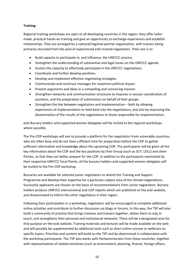#### **Training**

Regional training workshops are open to all developing countries in the region; they offer tailormade, practical hands-on training and give an opportunity to exchange experiences and establish relationships. They are arranged by a national/regional partner organization, with trainers being primarily recruited from the pool of experienced ecbi-trained negotiators. Their aim is to:

- Build capacity to participate in, and influence, the UNFCCC process.
- Strengthen the understanding of substantive and legal issues on the UNFCCC agenda.
- Sustain the capacity to effectively participate in the UNFCCC negotiations.
- Coordinate and further develop positions.
- Develop and implement effective negotiating strategies.
- Communicate and construct messages for maximum political impact.
- Present arguments and ideas in a compelling and convincing manner.
- Strengthen networks and communication structures to improve in-session coordination of positions, and the preparation of submissions on behalf of their groups.
- Strengthen the link between negotiation and implementation both by allowing experiences of implementation to feed back into the negotiations, and also by improving the dissemination of the results of the negotiations to those responsible for implementation.

ecbi Bursary holders and supported women delegates will be invited to the regional workshops where possible.

The Pre-COP workshops will aim to provide a platform for the negotiators from vulnerable countries, who are often busy and do not have sufficient time for preparation before the COP to gather sufficient information and knowledge about the upcoming COP. The participants will be given all the key information about the COP and the key positions by their Group (such as G77, LDCs) and other Parties, so that they can better prepare for the COP. In addition to the participants nominated by their respective UNFCCC Focal Points, all the bursary holders and supported women delegates will be invited to the Pre-COP workshop.

Bursaries are available for selected junior negotiators to attend the Training and Support Programme and develop their expertise for a particular subject area of the climate negotiations. Successful applicants are chosen on the basis of recommendations from senior negotiators. Bursary holders produce UNFCCC intercessional and COP reports which are published on the ecbi website, and disseminated to inform the other negotiators in their region.

Following their participation in a workshop, negotiators will be encouraged to complete additional online activities and contribute to further discussion via blogs or forums. In this way, the TSP will also build a community of practice that brings trainees and trainers together, allows them to stay in touch, and strengthens their personal and institutional networks. There will be a designated area for that purpose on the ecbi website. Training materials and lectures will be made available on the web and will possibly be supplemented by additional tools such as short online courses or webinars on specific topics. Priorities and content will build on the TSP and be determined in collaboration with the workshop participants. The TSP also works with Parliamentarians from these countries, together with representatives of related ministries (such as environment, planning, finance, foreign affairs,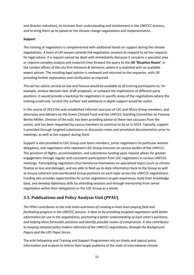and disaster reduction), to increase their understanding and involvement in the UNFCCC process, and to bring them up to speed on the climate change negotiations and implementation.

#### **Support**

The training of negotiators is complemented with additional hands on support during the climate negotiations. A team of LRI lawyers attends the negotiation sessions to respond to ad hoc requests for legal advice. If a request cannot be dealt with immediately (because it concerns a specialist area or requires complex analysis and research) they forward the query to the **LRI 'Situation Room'**, in the London offices of the city firm Simmons & Simmons, where it is matched with an available expert adviser. The resulting legal opinion is reviewed and returned to the requester, with LRI providing further explanation and clarification as required.

This ad hoc advice service on law and finance would be available to all training participants to, for example, analyse decision text, draft proposals, or compare the implications of different party positions. It would provide a backstop for negotiators in specific areas of the negotiations where the training could only 'scratch the surface' and additional in depth support would be useful.

In the course of 2013 the ecbi established informal caucuses of LDC and Africa Group members, and alternates and advisers on the Green Climate Fund and the UNFCCC Standing Committee on Finance. Benito Müller, Director of the ecbi, has been providing advice to these two caucuses from the outset, and has been requested by caucus members to continue to do so in 2014. Typically, support is provided through targeted submissions or discussion notes and annotated documentation prior to meetings, as well as live support during them.

Support is also provided to LDC Group core team members, junior negotiators (in particular women delegates), and negotiators who represent LDC Group interests on various bodies of the UNFCCC. The provision of flights, accommodation, and subsistence funding upon request allows for greater engagement through regular and consistent participation from LDC negotiators in various UNFCCC meetings. Participating negotiators thus familiarize themselves on specialized topics (such as climate finance or loss and damage), and are able to feed up-to-date information back to the Group as well as ensure coherent and coordinated Group positions on each topic across the UNFCCC negotiations. Funding also provides opportunities for junior negotiators to gain experience, build their knowledge base, and develop diplomacy skills by attending sessions and through mentorship from senior negotiators within their delegations or the LDC Group as a whole.

## <span id="page-10-0"></span>**3.5. Publications and Policy Analysis Unit (PPAU)**

*The PPAU contributes to the ecbi meta-outcomes of creating a more level playing field and facilitating progress in the UNFCCC process. It does so by providing targeted negotiators with better information for use in the negotiations; promoting a better understanding of each other's positions; and helping them formulate positions and identify possible routes of compromise. It also contributes to keeping national policy makers informed of the UNFCCC negotiations, through the Background Papers and the LDC Paper Series.*

The ecbi Fellowship and Training and Support Programmes rely on timely and topical policy information and analysis to inform their target audience of the state of international climate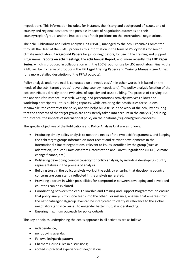negotiations. This information includes, for instance, the history and background of issues, and of country and regional positions; the possible impacts of negotiation outcomes on their country/region/group; and the implications of their positions on the international negotiations.

The ecbi Publications and Policy Analysis Unit (PPAU), managed by the ecbi Executive Committee through the Head of the PPAU, produces this information in the form of **Policy Briefs** for senior climate negotiators; **Background Papers** for junior negotiators, for use in the Training and Support Programme; **reports on ecbi meetings**; the **ecbi Annual Report**; and, more recently, **the LDC Paper Series**, which is produced in collaboration with the LDC Group for use by LDC negotiators. Finally, the PPAU will be in charge of producing the LRI **Legal Briefing Papers** and **Training Manuals** (see Annex **II** for a more detailed description of the PPAU outputs).

Policy analysis under the ecbi is conducted on a 'needs basis' – in other words, it is based on the needs of the ecbi 'target groups' (developing country negotiators). The policy analysis function of the ecbi contributes directly to the twin aims of capacity and trust building. The process of carrying out the analysis (for instance, research, writing, and presentation) actively involves Fellows and workshop participants – thus building capacity, while exploring the possibilities for solutions. Meanwhile, the content of the policy analysis helps build trust in the work of the ecbi, by ensuring that the concerns of the target group are consistently taken into account in the analysis (including, for instance, the impacts of international policy on their national/regional/group concerns).

The specific objectives of the Publications and Policy Analysis Unit are as follows:

- Producing timely policy analysis to meet the needs of the two ecbi Programmes, and keeping the ecbi target groups informed on most recent and relevant developments in the international climate negotiations, relevant to issues identified by the group (such as adaptation, Reduced Emissions from Deforestation and Forest Degradation (REDD), climate change finance, etc.).
- Bolstering developing country capacity for policy analysis, by including developing country representatives in the process of analysis.
- Building trust in the policy analysis work of the ecbi, by ensuring that developing country concerns are consistently reflected in the analysis generated.
- Providing a forum in which possibilities for compromise between developing and developed countries can be explored.
- Coordinating between the ecbi Fellowship and Training and Support Programmes, to ensure that policy analysis from one feeds into the other. For instance, analysis that emerges from the national/regional/group level can be interpreted to clarify its relevance to the global negotiators (and vice versa), to engender better mutual understanding.
- Ensuring maximum outreach for policy outputs.

The key principles underpinning the ecbi's approach in all activities are as follows:

- independence;
- no lobbying agenda;
- Fellows-led/participatory;
- Chatham House rules in discussions;
- rooted in practical experience of negotiations.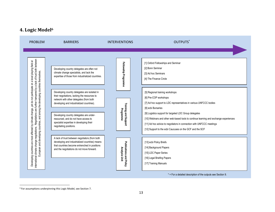# **4. Logic Model<sup>6</sup>**

<span id="page-12-0"></span>

| international climate change negotiations. Negotiations are further hampered by a lack of trust both between<br>ಹ<br>Fellowship Programme<br>[1] Oxford Fellowships and Seminar<br>on a level playing field<br>[2] Bonn Seminar<br>Developing country delegates are often not<br>European and developing countries, and among the developing countries themselves.<br>climate change specialists, and lack the<br>[3] Ad hoc Seminars<br>expertise of those from industrialized countries.<br>[4] The Finance Circle<br>climate change, yet do not participate<br>Developing country delegates are isolated in<br>[5] Regional training workshops<br>their negotiations, lacking the resources to<br>[6] Pre-COP workshops<br>network with other delegates (from both<br>[7] Ad hoc support to LDC representatives in various UNFCCC bodies<br>developing and industrialized countries).<br><b>Training and Support</b><br>[8] ecbi Bursaries<br>Programme<br>[9] Logistics support for targeted LDC Group delegates<br>Developing country delegates are under-<br>[10] Webinars and other web-based tools to continue learning and exchange experiences<br>resourced, and do not have access to<br>specialist expertise in developing their<br>[11] Ad hoc advice to negotiators in connection with UNFCCC meetings<br>Σ<br>negotiating positions.<br>are most affected<br>[12] Support to the ecbi Caucuses on the GCF and the SCF<br>A lack of trust between negotiators (from both<br>developing and industrialized countries) means<br>[13] ecbi Policy Briefs<br>that countries become entrenched in positions<br>[14] Background Papers<br>Analysis Unit<br>and the negotiations do not move forward.<br>[15] LDC Paper Series<br>[16] Legal Briefing Papers | <b>PROBLEM</b>       | <b>BARRIERS</b> | <b>INTERVENTIONS</b>           | OUTPUTS <sup>*</sup>  |
|---------------------------------------------------------------------------------------------------------------------------------------------------------------------------------------------------------------------------------------------------------------------------------------------------------------------------------------------------------------------------------------------------------------------------------------------------------------------------------------------------------------------------------------------------------------------------------------------------------------------------------------------------------------------------------------------------------------------------------------------------------------------------------------------------------------------------------------------------------------------------------------------------------------------------------------------------------------------------------------------------------------------------------------------------------------------------------------------------------------------------------------------------------------------------------------------------------------------------------------------------------------------------------------------------------------------------------------------------------------------------------------------------------------------------------------------------------------------------------------------------------------------------------------------------------------------------------------------------------------------------------------------------------------------------------------------------------------------------------------------------------------------|----------------------|-----------------|--------------------------------|-----------------------|
|                                                                                                                                                                                                                                                                                                                                                                                                                                                                                                                                                                                                                                                                                                                                                                                                                                                                                                                                                                                                                                                                                                                                                                                                                                                                                                                                                                                                                                                                                                                                                                                                                                                                                                                                                                     |                      |                 |                                |                       |
|                                                                                                                                                                                                                                                                                                                                                                                                                                                                                                                                                                                                                                                                                                                                                                                                                                                                                                                                                                                                                                                                                                                                                                                                                                                                                                                                                                                                                                                                                                                                                                                                                                                                                                                                                                     |                      |                 |                                |                       |
| * = For a detailed description of the outputs see Section 9.                                                                                                                                                                                                                                                                                                                                                                                                                                                                                                                                                                                                                                                                                                                                                                                                                                                                                                                                                                                                                                                                                                                                                                                                                                                                                                                                                                                                                                                                                                                                                                                                                                                                                                        | Developing countries |                 | <b>Publications and Policy</b> | [17] Training Manuals |

<sup>&</sup>lt;sup>6</sup> For assumptions underpinning this Logic Model, see Section 7.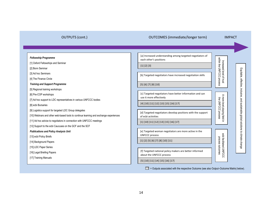# OUTPUTS (cont.) **OUTCOMES** (immediate/longer term) **IMPACT**

| <b>Fellowship Programme</b>                                                           | [a] Increased understanding among targeted negotiators of<br>each other's positions       |                                                 |                                                                   |
|---------------------------------------------------------------------------------------|-------------------------------------------------------------------------------------------|-------------------------------------------------|-------------------------------------------------------------------|
| [1] Oxford Fellowships and Seminar                                                    | [1] [2] [3]                                                                               |                                                 |                                                                   |
| [2] Bonn Seminar                                                                      |                                                                                           |                                                 |                                                                   |
| [3] Ad hoc Seminars                                                                   | [b] Targeted negotiators have increased negotiation skills                                | within the UNFCCC process<br>Increased level of |                                                                   |
| [4] The Finance Circle                                                                |                                                                                           | snu;                                            |                                                                   |
| <b>Training and Support Programme</b>                                                 | [5] [6] [7] [8] [10]                                                                      |                                                 |                                                                   |
| [5] Regional training workshops                                                       |                                                                                           |                                                 |                                                                   |
| [6] Pre-COP workshops                                                                 | [c] Targeted negotiators have better information and can                                  | ⋗                                               | Equitable, effective, inclusive, and sustainable global solutions |
| [7] Ad hoc support to LDC representatives in various UNFCCC bodies                    | use it more effectively                                                                   | more                                            |                                                                   |
| [8] ecbi Bursaries                                                                    | $[4] [10] [11] [12] [13] [15] [16] [17]$                                                  | the UNFCCC                                      |                                                                   |
| [9] Logistics support for targeted LDC Group delegates                                | [d] Targeted negotiators develop positions with the support                               |                                                 |                                                                   |
| [10] Webinars and other web-based tools to continue learning and exchange experiences | of ecbi activities                                                                        | level playing field<br>process                  |                                                                   |
| [11] Ad hoc advice to negotiators in connection with UNFCCC meetings                  | $[1] [10] [11] [12] [13] [15] [16] [17]$                                                  | Ξ.                                              |                                                                   |
| [12] Support to the ecbi Caucuses on the GCF and the SCF                              |                                                                                           |                                                 |                                                                   |
| <b>Publications and Policy Analysis Unit</b>                                          | [e] Targeted woman negotiators are more active in the                                     |                                                 |                                                                   |
| [13] ecbi Policy Briefs                                                               | <b>UNFCCC</b> process                                                                     |                                                 |                                                                   |
| [14] Background Papers                                                                | [1] [2] [5] [6] [7] [8] [10] [11]                                                         | process                                         | to climate change                                                 |
| [15] LDC Paper Series                                                                 |                                                                                           |                                                 |                                                                   |
| [16] Legal Briefing Papers                                                            | [f] Targeted national policy makers are better informed<br>about the UNFCCC process       | ecbi facilitated UNFCCC<br>outcomes             |                                                                   |
| [17] Training Manuals                                                                 |                                                                                           |                                                 |                                                                   |
|                                                                                       | [5] [10] [11] [14] [15] [16] [17]                                                         |                                                 |                                                                   |
|                                                                                       | = Outputs associated with the respective Outcome (see also Output–Outcome Matrix) below). |                                                 |                                                                   |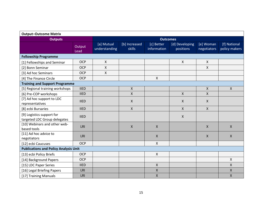| <b>Output-Outcome Matrix</b>                              |                 |                             |                         |                           |                             |                           |                               |
|-----------------------------------------------------------|-----------------|-----------------------------|-------------------------|---------------------------|-----------------------------|---------------------------|-------------------------------|
| <b>Outputs</b>                                            | <b>Outcomes</b> |                             |                         |                           |                             |                           |                               |
|                                                           | Output<br>Lead  | [a] Mutual<br>understanding | [b] Increased<br>skills | [c] Better<br>information | [d] Developing<br>positions | [e] Woman<br>negotiators  | [f] National<br>policy makers |
| <b>Fellowship Programme</b>                               |                 |                             |                         |                           |                             |                           |                               |
| [1] Fellowships and Seminar                               | <b>OCP</b>      | $\mathsf{X}$                |                         |                           | $\pmb{\times}$              | $\boldsymbol{\mathsf{X}}$ |                               |
| [2] Bonn Seminar                                          | <b>OCP</b>      | X                           |                         |                           |                             | $\boldsymbol{\mathsf{X}}$ |                               |
| [3] Ad hoc Seminars                                       | <b>OCP</b>      | X                           |                         |                           |                             |                           |                               |
| [4] The Finance Circle                                    | <b>OCP</b>      |                             |                         | $\pmb{\times}$            |                             |                           |                               |
| <b>Training and Support Programme</b>                     |                 |                             |                         |                           |                             |                           |                               |
| [5] Regional training workshops                           | <b>IIED</b>     |                             | $\pmb{\mathsf{X}}$      |                           |                             | $\pmb{\times}$            | $\mathsf{X}$                  |
| [6] Pre-COP workshops                                     | <b>IIED</b>     |                             | $\pmb{\mathsf{X}}$      |                           | Χ                           | $\pmb{\mathsf{X}}$        |                               |
| [7] Ad hoc support to LDC<br>representatives              | <b>IIED</b>     |                             | $\pmb{\mathsf{X}}$      |                           | $\pmb{\mathsf{X}}$          | $\boldsymbol{\mathsf{X}}$ |                               |
| [8] ecbi Bursaries                                        | <b>IIED</b>     |                             | $\mathsf{X}$            |                           | $\pmb{\mathsf{X}}$          | $\mathsf{X}$              |                               |
| [9] Logistics support for<br>targeted LDC Group delegates | <b>IIED</b>     |                             |                         |                           | Χ                           |                           |                               |
| [10] Webinars and other web-<br>based tools               | LRI             |                             | $\mathsf{X}$            | $\pmb{\times}$            |                             | $\mathsf{X}$              | $\mathsf{X}$                  |
| [11] Ad hoc advice to<br>negotiators                      | LRI             |                             |                         | $\mathsf{X}$              |                             | $\mathsf{X}$              | $\mathsf{X}$                  |
| [12] ecbi Caucuses                                        | <b>OCP</b>      |                             |                         | $\mathsf{X}$              |                             |                           |                               |
| <b>Publications and Policy Analysis Unit</b>              |                 |                             |                         |                           |                             |                           |                               |
| [13] ecbi Policy Briefs                                   | <b>OCP</b>      |                             |                         | $\pmb{\times}$            |                             |                           |                               |
| [14] Background Papers                                    | <b>OCP</b>      |                             |                         |                           |                             |                           | $\pmb{\times}$                |
| [15] LDC Paper Series                                     | <b>IIED</b>     |                             |                         | $\mathsf{X}$              |                             |                           | $\pmb{\times}$                |
| [16] Legal Briefing Papers                                | LRI             |                             |                         | $\pmb{\times}$            |                             |                           | $\pmb{\times}$                |
| [17] Training Manuals                                     | LRI             |                             |                         | $\mathsf X$               |                             |                           | $\pmb{\times}$                |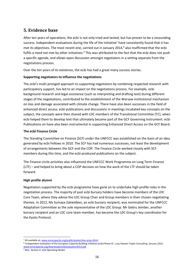# <span id="page-15-0"></span>**5. Evidence base**

After ten years of operations, the ecbi is not only tried and tested, but has proven to be a resounding success. Independent evaluations during the life of the initiative<sup>7</sup> have consistently found that it has met its objectives. The most recent one, carried out in January 2014,<sup>8</sup> also reaffirmed that the ecbi fulfils a need not met by other initiatives.<sup>9</sup> This was attributed to the fact that the ecbi does not push a specific agenda, and allows open discussion amongst negotiators in a setting separate from the negotiations process.

Over the ten years of its existence, the ecbi has had a great many success stories.

#### **Supporting negotiators to influence the negotiations**

The ecbi's multi-pronged approach to supporting negotiators by combining respected research with participatory support, has led to an impact on the negotiations process. For example, ecbi background research and legal assistance (such as interpreting and drafting text) during different stages of the negotiations, contributed to the establishment of the Warsaw institutional mechanism on loss and damage associated with climate change. There have also been successes in the field of enhanced direct access; ecbi publications and discussions in meetings incubated key concepts on the subject, the concepts were then shared with LDC members of the Transitional Committee (TC), when ecbi helped them to develop text that ultimately became part of the GCF Governing Instrument. ecbi Publications on have also been instrumental in supporting Enhanced Direct Access on the GCF Board.

#### **The ecbi Finance Circle**

The Standing Committee on Finance (SCF) under the UNFCCC was established on the basis of an idea generated by ecbi Fellows in 2010. The SCF has had numerous successes, not least the development of arrangements between the GCF and the COP. The Finance Circle worked closely with SCF members during this time, and the ecbi produced publications on the subject.

The Finance circle activities also influenced the UNFCCC Work Programme on Long Term Finance (LTF) – and helped to bring about a COP decision on how the work of the LTF should be taken forward.

#### **High profile alumni**

Negotiators supported by the ecbi programme have gone on to undertake high profile roles in the negotiation process. The majority of past ecbi bursary holders have become members of the LDC Core Team, where they advise the LDC Group Chair and Group members in their chosen negotiating themes. In 2012, Ms Sumaya Zakieldeen, an ecbi bursary recipient, was nominated for the UNFCCC Adaptation Committee as the sole representative of the LDC Group. Mr Gebru Jember, another bursary recipient and an LDC core team member, has become the LDC Group's key coordinator for the Kyoto Protocol.

1

<sup>7</sup> All available at[: www.eurocapacity.org/public/pubarchive-arep.shtml](http://www.eurocapacity.org/public/pubarchive-arep.shtml)

<sup>&</sup>lt;sup>8</sup> 'Independent Evaluation of the European Capacity Building Initiative (ecbi) Phase III', Lucy Heaven Taylor Consulting, January 2014, [www.eurocapacity.org/downloads/ecbievaluation2013.pdf.](http://www.eurocapacity.org/downloads/ecbievaluation2013.pdf)

<sup>&</sup>lt;sup>9</sup> Ibid., Section 4: ecbi Operating Model.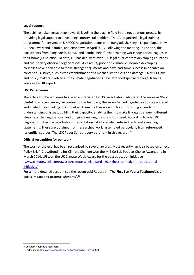#### **Legal support**

The ecbi has taken great steps towards levelling the playing field in the negotiations process by providing legal support to developing country stakeholders. The LRI organized a legal training programme for lawyers on UNFCCC negotiation teams from Bangladesh, Kenya, Nepal, Papua New Guinea, Swaziland, Zambia, and Zimbabwe in April 2013. Following the meeting, in London, the participants from Bangladesh, Kenya, and Zambia held further training workshops for colleagues in their home jurisdiction. To date, LRI has deal with over 500 legal queries from developing countries and civil society observer organizations. As a result, poor and climate-vulnerable developing countries have been able to make stronger arguments and have had some success in debates on contentious issues, such as the establishment of a mechanism for loss and damage. Over 130 lawand policy-makers involved in the climate negotiations have attended specialized legal training sessions by LRI experts.

#### **LDC Paper Series**

The ecbi's LDC Paper Series has been appreciated by LDC negotiators, who rated the series as 'Very Useful' in a recent survey. According to the feedback, the series helped negotiators to stay updated and guided their thinking. It also helped them in other ways such as: promoting an in-depth understanding of issues, building their capacity, enabling them to make linkages between different streams of the negotiations, and bringing new negotiators up to speed. According to one LDC negotiator, 'Effective negotiation on adaptation calls for evidence-based facts, not sweeping statements. These are obtained from researched work, assembled particularly from referenced (scientific) sources. The LDC Paper Series is very pertinent in this regard.'<sup>10</sup>

#### **Official recognition for our work**

The work of the ecbi has been recognized by several awards. Most recently, an idea based on an ecbi Policy Brief (Crowdfunding for Climate Change) won the MIT Co-Lab Popular Choice Award, and in March 2014, LRI won the UK Climate Week Award for the best education initiative [\(www.climateweek.com/awards/climate-week-awards-2014/best-campaign-or-educational](http://www.climateweek.com/awards/climate-week-awards-2014/best-campaign-or-educational-initiative/)[initiative/\)](http://www.climateweek.com/awards/climate-week-awards-2014/best-campaign-or-educational-initiative/).

For a more detailed account see the recent ecbi Report on '**The First Ten Years: Testimonials on ecbi's impact and accomplishments**'. 11

 $\overline{a}$ <sup>10</sup> Chatham House rule feed-back.

<sup>11</sup> Forthcoming a[t www.eurocapacity.org/public/pubarchive-pres.shtml](http://www.eurocapacity.org/public/pubarchive-pres.shtml)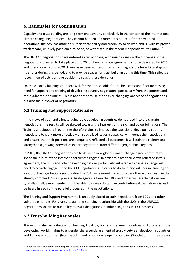# <span id="page-17-0"></span>**6. Rationales for Continuation**

Capacity and trust building are long-term endeavours, particularly in the context of the international climate change negotiations. They cannot happen at a moment's notice. After ten years of operations, the ecbi has attained sufficient capability and credibility to deliver, and is, with its proven track record, uniquely positioned to do so, as witnessed in the recent Independent Evaluation.<sup>12</sup>

The UNFCCC negotiations have entered a crucial phase, with much riding on the outcomes of the negotiations planned to take place up to 2020. A new climate agreement is to be delivered by 2015, and operationalized by 2020. There have been numerous calls from negotiators for ecbi to step up its efforts during this period, and to provide spaces for trust building during this time. This reflects a recognition of ecbi's unique position to satisfy these demands.

On the capacity building side there will, for the foreseeable future, be a constant if not increasing need for support and training of developing country negotiators, particularly from the poorest and most vulnerable countries. This is not only because of the ever-changing landscape of negotiations, but also the turnover of negotiators.

#### <span id="page-17-1"></span>**6.1 Training and Support Rationales**

If the views of poor and climate-vulnerable developing countries do not feed into the climate negotiations, the results will be skewed towards the interests of the rich and powerful nations. The Training and Support Programme therefore aims to improve the capacity of developing country negotiators to work more effectively on specialized issues, strategically influence the negotiations, and ensure that their positions are adequately reflected all outcomes. It will train the trainers and strengthen a growing network of expert negotiators from different geographical regions.

In 2015, the UNFCCC negotiations are to deliver a new global climate change agreement that will shape the future of the international climate regime. In order to have their views reflected in this agreement, the LDCs and other developing nations particularly vulnerable to climate change will need to actively engage in the UNFCCC negotiations. In order to do so, many will require training and support. The negotiations surrounding the 2015 agreement make up yet another work stream in the already complex UNFCCC process. As delegations from the LDCs and other vulnerable nations are typically small, every member must be able to make substantive contributions if the nation wishes to be heard in each of the parallel processes in the negotiations.

The Training and Support Programme is uniquely placed to train negotiators from LDCs and other vulnerable nations. For example, our long-standing relationship with the LDCs in the UNFCCC negotiations speaks to our ability to assist delegations in influencing the UNFCCC process.

#### <span id="page-17-2"></span>**6.2 Trust-building Rationales**

 $\overline{a}$ 

The ecbi is also an initiative for building trust by, for, and between countries in Europe and the developing world. It aims to engender the essential element of trust – between developing countries and European countries (North-South) and among developing countries (South-South). It also aims

<sup>&</sup>lt;sup>12</sup> 'Independent Evaluation of the European Capacity Building Initiative (ecbi) Phase III', Lucy Heaven Taylor Consulting, January 2014, [www.eurocapacity.org/downloads/ecbievaluation2013.pdf.](http://www.eurocapacity.org/downloads/ecbievaluation2013.pdf)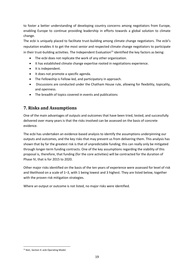to foster a better understanding of developing country concerns among negotiators from Europe, enabling Europe to continue providing leadership in efforts towards a global solution to climate change.

The ecbi is uniquely placed to facilitate trust-building among climate change negotiators. The ecbi's reputation enables it to get the most senior and respected climate change negotiators to participate in their trust-building activities. The Independent Evaluation<sup>13</sup> identified the key factors as being:

- The ecbi does not replicate the work of any other organization.
- It has established climate change expertise rooted in negotiations experience.
- It is independent.
- It does not promote a specific agenda.
- The Fellowship is Fellow-led, and participatory in approach.
- Discussions are conducted under the Chatham House rule, allowing for flexibility, topicality, and openness.
- The breadth of topics covered in events and publications

## <span id="page-18-0"></span>**7. Risks and Assumptions**

One of the main advantages of outputs and outcomes that have been tried, tested, and successfully delivered over many years is that the risks involved can be assessed on the basis of concrete evidence.

The ecbi has undertaken an evidence-based analysis to identify the assumptions underpinning our outputs and outcomes, and the key risks that may prevent us from delivering them. This analysis has shown that by far the greatest risk is that of unpredictable funding; this can really only be mitigated through longer-term funding contracts. One of the key assumptions regarding the viability of this proposal is, therefore, that funding (for the core activities) will be contracted for the duration of Phase IV, that is for 2015 to 2020.

Other major risks identified on the basis of the ten years of experience were assessed for level of risk and likelihood on a scale of 1–3, with 1 being lowest and 3 highest. They are listed below, together with the proven risk mitigation strategies.

Where an output or outcome is not listed, no major risks were identified.

 $\overline{a}$ <sup>13</sup> Ibid., Section 4: ecbi Operating Model.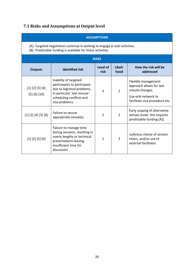# <span id="page-19-0"></span>**7.1 Risks and Assumptions at Output level**

<span id="page-19-1"></span>

| <b>ASSUMPTIONS</b>                                                                                                                       |                                                                                                                                                                  |                  |                 |                                                                                                                              |  |  |  |
|------------------------------------------------------------------------------------------------------------------------------------------|------------------------------------------------------------------------------------------------------------------------------------------------------------------|------------------|-----------------|------------------------------------------------------------------------------------------------------------------------------|--|--|--|
| [A] Targeted negotiators continue in wishing to engage in ecbi activities.<br>[B] Predictable funding is available for these activities. |                                                                                                                                                                  |                  |                 |                                                                                                                              |  |  |  |
|                                                                                                                                          |                                                                                                                                                                  | <b>RISKS</b>     |                 |                                                                                                                              |  |  |  |
| <b>Outputs</b>                                                                                                                           | <b>Identified risk</b>                                                                                                                                           | Level of<br>risk | Likeli-<br>hood | How the risk will be<br>addressed                                                                                            |  |  |  |
| [1] [2] [3] [4]<br>[5] [6] [10]                                                                                                          | Inability of targeted<br>participants to participate<br>due to logistical problems,<br>in particular 'last minute'<br>scheduling conflicts and<br>visa problems. | $\overline{3}$   | $\overline{2}$  | Flexible management<br>approach allows for last-<br>minute changes.<br>Use ecbi network to<br>facilitate visa procedure etc. |  |  |  |
| [1] [2] [4] [5] [6]                                                                                                                      | Failure to secure<br>appropriate venue(s).                                                                                                                       | $\mathbf{1}$     | $\overline{2}$  | Early scoping of alternative<br>venues (note: this requires<br>predictable funding [A]).                                     |  |  |  |
| [1] [2] [5] [6]                                                                                                                          | Failure to manage time<br>during sessions, resulting in<br>overly lengthy or technical<br>presentations leaving<br>insufficient time for<br>discussion.          | 1                | 3               | Judicious choice of session<br>chairs, and/or use of<br>external facilitator.                                                |  |  |  |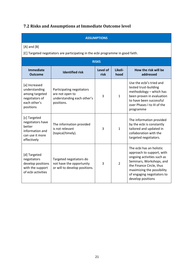# **7.2 Risks and Assumptions at Immediate Outcome level**

#### **ASSUMPTIONS**

[A] and [B]

[C] Targeted negotiators are participating in the ecbi programme in good faith.

| <b>RISKS</b>                                                                                    |                                                                                          |                  |                 |                                                                                                                                                                                                                              |  |  |
|-------------------------------------------------------------------------------------------------|------------------------------------------------------------------------------------------|------------------|-----------------|------------------------------------------------------------------------------------------------------------------------------------------------------------------------------------------------------------------------------|--|--|
| <b>Immediate</b><br><b>Outcome</b>                                                              | <b>Identified risk</b>                                                                   | Level of<br>risk | Likeli-<br>hood | How the risk will be<br>addressed                                                                                                                                                                                            |  |  |
| [a] Increased<br>understanding<br>among targeted<br>negotiators of<br>each other's<br>positions | Participating negotiators<br>are not open to<br>understanding each other's<br>positions. | 3                | $\mathbf{1}$    | Use the ecbi's tried and<br>tested trust-building<br>methodology - which has<br>been proven in evaluation<br>to have been successful<br>over Phases I to III of the<br>programme                                             |  |  |
| [c] Targeted<br>negotiators have<br>better<br>information and<br>can use it more<br>effectively | The information provided<br>is not relevant<br>(topical/timely).                         | 3                | $\mathbf{1}$    | The information provided<br>by the ecbi is constantly<br>tailored and updated in<br>collaboration with the<br>targeted negotiators.                                                                                          |  |  |
| [d] Targeted<br>negotiators<br>develop positions<br>with the support<br>of ecbi activities      | Targeted negotiators do<br>not have the opportunity<br>or will to develop positions.     | 3                | $\overline{2}$  | The ecbi has an holistic<br>approach to support, with<br>ongoing activities such as<br>Seminars, Workshops, and<br>the Finance Circle, thus<br>maximizing the possibility<br>of engaging negotiators to<br>develop positions |  |  |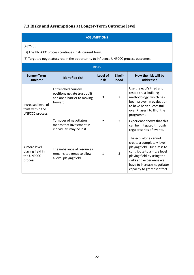# <span id="page-21-0"></span>**7.3 Risks and Assumptions at Longer-Term Outcome level**

#### **ASSUMPTIONS**

[A] to [C]

[D] The UNFCCC process continues in its current form.

[E] Targeted negotiators retain the opportunity to influence UNFCCC process outcomes.

| <b>RISKS</b>                                               |                                                                                               |                  |                 |                                                                                                                                                                                                                                                  |  |  |  |
|------------------------------------------------------------|-----------------------------------------------------------------------------------------------|------------------|-----------------|--------------------------------------------------------------------------------------------------------------------------------------------------------------------------------------------------------------------------------------------------|--|--|--|
| Longer-Term<br><b>Outcome</b>                              | <b>Identified risk</b>                                                                        | Level of<br>risk | Likeli-<br>hood | How the risk will be<br>addressed                                                                                                                                                                                                                |  |  |  |
| Increased level of<br>trust within the<br>UNFCCC process.  | Entrenched country<br>positions negate trust built<br>and are a barrier to moving<br>forward. | $\overline{3}$   | $\overline{2}$  | Use the ecbi's tried and<br>tested trust-building<br>methodology, which has<br>been proven in evaluation<br>to have been successful<br>over Phases I to III of the<br>programme.                                                                 |  |  |  |
|                                                            | Turnover of negotiators<br>means that investment in<br>individuals may be lost.               | $\mathcal{P}$    | 3               | Experience shows that this<br>can be mitigated through<br>regular series of events.                                                                                                                                                              |  |  |  |
| A more level<br>playing field in<br>the UNFCCC<br>process. | The imbalance of resources<br>remains too great to allow<br>a level playing field.            | $\mathbf{1}$     | 3               | The ecbi alone cannot<br>create a completely level<br>playing field. Our aim is to<br>contribute to a <i>more</i> level<br>playing field by using the<br>skills and experience we<br>have to increase negotiator<br>capacity to greatest effect. |  |  |  |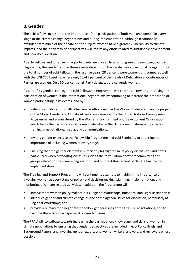# <span id="page-22-0"></span>**8. Gender**

The ecbi is fully cognizant of the importance of the participation of both men and women in every stage of the climate change negotiations and during implementation. Although traditionally excluded from much of the debate on the subject, women have a greater vulnerability to climate impacts, and their diversity of perspectives will inform any effort related to sustainable development and poverty alleviation.

As ecbi Fellows and other Seminar participants are chosen from among senior developing country negotiators, the gender ratio in these events depends on the gender ratio in national delegations. Of the total number of ecbi Fellows in the last five years, 28 per cent were women; this compares well with the UNFCCC baseline, where only 12–15 per cent of the Heads of Delegation at Conferences of Parties are women. Only 30 per cent of all Party delegates are currently women.

As part of its gender strategy, the ecbi Fellowship Programme will contribute towards improving the participation of women in the international negotiations by continuing to increase the proportion of women participating in its events, and by:

- Initiating collaborations with other similar efforts such as the Women Delegates' Fund (a project of the Global Gender and Climate Alliance, implemented by the United Nations Development Programme and administered by the Women's Environment and Development Organization), which funds the participation of women delegates in the climate negotiations and provides training in negotiations, media, and communications.
- Inviting gender experts to the Fellowship Programme and ecbi Seminars, to underline the importance of including women at every stage.
- Ensuring that the gender element is sufficiently highlighted in its policy discussions and briefs, particularly when advocating on issues such as the formulation of expert committees and groups related to the climate negotiations; and on the disbursement of climate finance for implementation.

The Training and Support Programme will continue its attempts to highlight the importance of involving women at every stage of policy- and decision-making, planning, implementation, and monitoring of climate related activities. In addition, the Programme will:

- involve more women policy makers in its Regional Workshops, Bursaries, and Legal Residencies;
- introduce gender and climate change as one of the agenda issues for discussion, particularly at Regional Workshops; and
- provide a bursary for a negotiator to follow gender issues at the UNFCCC negotiations, and to become the ecbi subject specialist on gender issues.

The PPAU will contribute towards increasing the participation, knowledge, and skills of women in climate negotiations by ensuring that gender perspectives are included in ecbi Policy Briefs and Background Papers, and involving gender experts and women writers, analysts, and reviewers where possible.